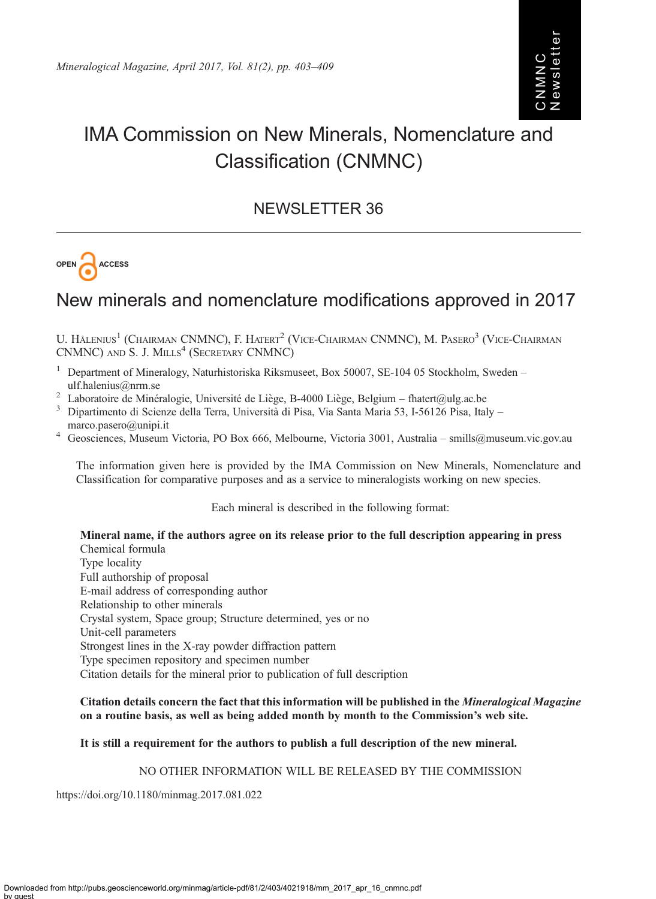# Newsletter NMNC CNMNC

## IMA Commission on New Minerals, Nomenclature and Classification (CNMNC)

### NEWSLETTER 36



## New minerals and nomenclature modifications approved in 2017

U. HÅLENIUS<sup>1</sup> (CHAIRMAN CNMNC), F. HATERT<sup>2</sup> (VICE-CHAIRMAN CNMNC), M. PASERO<sup>3</sup> (VICE-CHAIRMAN CNMNC) AND S. J. MILLS<sup>4</sup> (SECRETARY CNMNC)

- <sup>1</sup> Department of Mineralogy, Naturhistoriska Riksmuseet, Box 50007, SE-104 05 Stockholm, Sweden –
- [ulf.halenius@nrm.se](mailto:ulf.�halenius@�nrm.se)<br>
<sup>2</sup> Laboratoire de Minéralogie, Université de Liège, B-4000 Liège, Belgium [fhatert@ulg.ac.be](mailto:fhatert@ulg.ac.be)<br>
<sup>3</sup> Dipartimento di Scienze della Terra, Università di Pisa, Via Santa Maria 53, I-56126 Pisa, Italy –
- 
- [marco.pasero@unipi.it](mailto:marco.�pasero@�unipi.it)<br>4 Geosciences, Museum Victoria, PO Box 666, Melbourne, Victoria 3001, Australia [smills@museum.vic.gov.au](mailto:smills@museum.vic.gov.au)

The information given here is provided by the IMA Commission on New Minerals, Nomenclature and Classification for comparative purposes and as a service to mineralogists working on new species.

Each mineral is described in the following format:

Mineral name, if the authors agree on its release prior to the full description appearing in press Chemical formula

Type locality Full authorship of proposal E-mail address of corresponding author Relationship to other minerals Crystal system, Space group; Structure determined, yes or no Unit-cell parameters Strongest lines in the X-ray powder diffraction pattern Type specimen repository and specimen number Citation details for the mineral prior to publication of full description

#### Citation details concern the fact that this information will be published in the Mineralogical Magazine on a routine basis, as well as being added month by month to the Commission's web site.

#### It is still a requirement for the authors to publish a full description of the new mineral.

#### NO OTHER INFORMATION WILL BE RELEASED BY THE COMMISSION

https://doi.org/10.1180/minmag.2017.081.022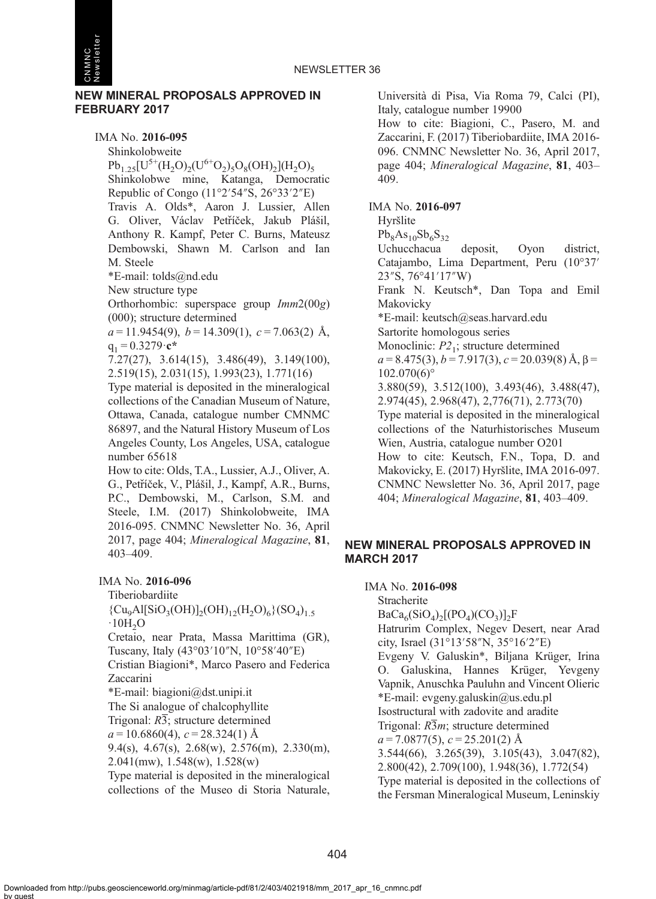

CNMNC Newsletter

> IMA No. 2016-095 Shinkolobweite  $Pb_{1,25}[U^{5+}(H_2O)_2(U^{6+}O_2)_5O_8(OH)_2](H_2O)_5$ Shinkolobwe mine, Katanga, Democratic Republic of Congo (11°2′54″S, 26°33′2″E) Travis A. Olds\*, Aaron J. Lussier, Allen G. Oliver, Václav Petříček, Jakub Plášil, Anthony R. Kampf, Peter C. Burns, Mateusz Dembowski, Shawn M. Carlson and Ian M. Steele \*E-mail: [tolds@nd.edu](mailto:tolds@nd.edu) New structure type Orthorhombic: superspace group Imm2(00g) (000); structure determined  $a = 11.9454(9)$ ,  $b = 14.309(1)$ ,  $c = 7.063(2)$  Å,  $q_1 = 0.3279 \cdot c^*$ 7.27(27), 3.614(15), 3.486(49), 3.149(100), 2.519(15), 2.031(15), 1.993(23), 1.771(16) Type material is deposited in the mineralogical collections of the Canadian Museum of Nature, Ottawa, Canada, catalogue number CMNMC 86897, and the Natural History Museum of Los Angeles County, Los Angeles, USA, catalogue

number 65618

How to cite: Olds, T.A., Lussier, A.J., Oliver, A. G., Petrí̌ček, V., Plášil, J., Kampf, A.R., Burns, P.C., Dembowski, M., Carlson, S.M. and Steele, I.M. (2017) Shinkolobweite, IMA 2016-095. CNMNC Newsletter No. 36, April 2017, page 404; Mineralogical Magazine, 81, 403–409.

#### IMA No. 2016-096

Tiberiobardiite  ${Cu_9Al[SiO_3(OH)]_2(OH)_{12}(H_2O)_6}{SO_4)}$  $\cdot$ 10H<sub>2</sub>O Cretaio, near Prata, Massa Marittima (GR), Tuscany, Italy (43°03′10″N, 10°58′40″E) Cristian Biagioni\*, Marco Pasero and Federica Zaccarini \*E-mail: [biagioni@dst.unipi.it](mailto:biagioni@dst.unipi.it) The Si analogue of chalcophyllite Trigonal:  $R\overline{3}$ ; structure determined  $a = 10.6860(4), c = 28.324(1)$  Å

9.4(s), 4.67(s), 2.68(w), 2.576(m), 2.330(m), 2.041(mw), 1.548(w), 1.528(w)

Type material is deposited in the mineralogical collections of the Museo di Storia Naturale, Università di Pisa, Via Roma 79, Calci (PI), Italy, catalogue number 19900

How to cite: Biagioni, C., Pasero, M. and Zaccarini, F. (2017) Tiberiobardiite, IMA 2016- 096. CNMNC Newsletter No. 36, April 2017, page 404; Mineralogical Magazine, 81, 403– 409.

#### IMA No. 2016-097

Hyršlite  $Pb_8As_{10}Sb_6S_{32}$ Uchucchacua deposit, Oyon district, Catajambo, Lima Department, Peru (10°37′ 23″S, 76°41′17″W) Frank N. Keutsch\*, Dan Topa and Emil Makovicky \*E-mail: [keutsch@seas.harvard.edu](mailto:keutsch@seas.harvard.edu) Sartorite homologous series Monoclinic:  $P2<sub>1</sub>$ ; structure determined  $a = 8.475(3)$ ,  $b = 7.917(3)$ ,  $c = 20.039(8)$  Å,  $\beta =$  $102.070(6)°$ 3.880(59), 3.512(100), 3.493(46), 3.488(47), 2.974(45), 2.968(47), 2,776(71), 2.773(70) Type material is deposited in the mineralogical collections of the Naturhistorisches Museum Wien, Austria, catalogue number O201 How to cite: Keutsch, F.N., Topa, D. and Makovicky, E. (2017) Hyršlite, IMA 2016-097. CNMNC Newsletter No. 36, April 2017, page 404; Mineralogical Magazine, 81, 403–409.

#### NEW MINERAL PROPOSALS APPROVED IN **MARCH 2017**

IMA No. 2016-098

Stracherite  $BaCa<sub>6</sub>(SiO<sub>4</sub>)<sub>2</sub>[(PO<sub>4</sub>)(CO<sub>3</sub>)]<sub>2</sub>F$ Hatrurim Complex, Negev Desert, near Arad city, Israel (31°13′58″N, 35°16′2″E) Evgeny V. Galuskin\*, Biljana Krüger, Irina O. Galuskina, Hannes Krüger, Yevgeny Vapnik, Anuschka Pauluhn and Vincent Olieric \*E-mail: [evgeny.galuskin@us.edu.pl](mailto:evgeny.galuskin@us.edu.pl) Isostructural with zadovite and aradite Trigonal:  $R\overline{3}m$ ; structure determined  $a = 7.0877(5), c = 25.201(2)$  Å 3.544(66), 3.265(39), 3.105(43), 3.047(82), 2.800(42), 2.709(100), 1.948(36), 1.772(54) Type material is deposited in the collections of the Fersman Mineralogical Museum, Leninskiy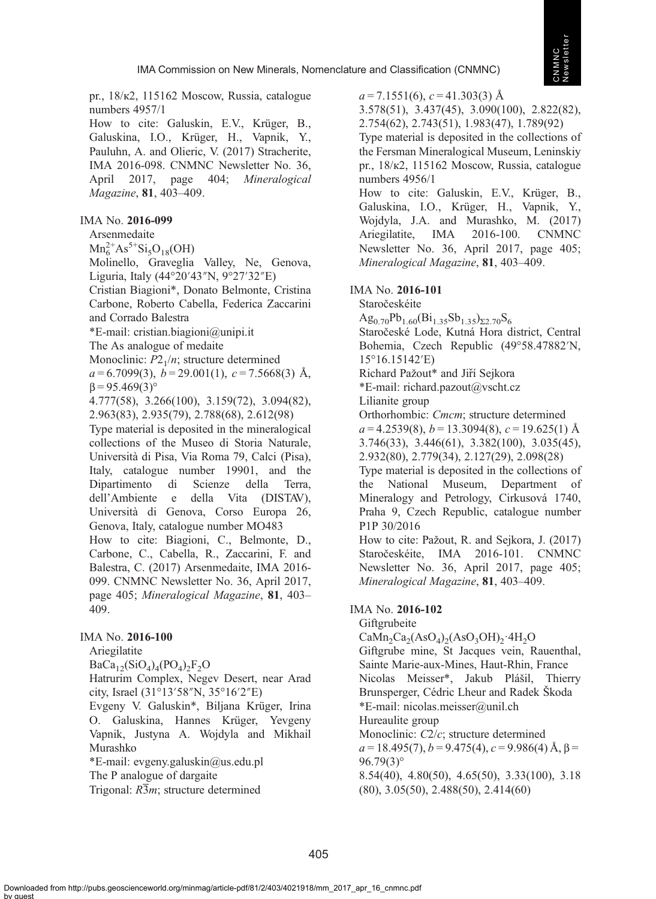pr., 18/к2, 115162 Moscow, Russia, catalogue numbers 4957/1

How to cite: Galuskin, E.V., Krüger, B., Galuskina, I.O., Krüger, H., Vapnik, Y., Pauluhn, A. and Olieric, V. (2017) Stracherite, IMA 2016-098. CNMNC Newsletter No. 36, April 2017, page 404; Mineralogical Magazine, 81, 403–409.

#### IMA No. 2016-099

Arsenmedaite

 $Mn_6^{2+}As^{5+}Si_5O_{18}(OH)$ 

Molinello, Graveglia Valley, Ne, Genova, Liguria, Italy (44°20′43″N, 9°27′32″E)

Cristian Biagioni\*, Donato Belmonte, Cristina Carbone, Roberto Cabella, Federica Zaccarini

and Corrado Balestra

\*E-mail: [cristian.biagioni@unipi.it](mailto:cristian.biagioni@unipi.it)

The As analogue of medaite

Monoclinic:  $P2<sub>1</sub>/n$ ; structure determined

 $a = 6.7099(3)$ ,  $b = 29.001(1)$ ,  $c = 7.5668(3)$  Å,  $β = 95.469(3)°$ 

4.777(58), 3.266(100), 3.159(72), 3.094(82), 2.963(83), 2.935(79), 2.788(68), 2.612(98)

Type material is deposited in the mineralogical collections of the Museo di Storia Naturale, Università di Pisa, Via Roma 79, Calci (Pisa), Italy, catalogue number 19901, and the Dipartimento di Scienze della Terra, dell'Ambiente e della Vita (DISTAV), Università di Genova, Corso Europa 26, Genova, Italy, catalogue number MO483

How to cite: Biagioni, C., Belmonte, D., Carbone, C., Cabella, R., Zaccarini, F. and Balestra, C. (2017) Arsenmedaite, IMA 2016- 099. CNMNC Newsletter No. 36, April 2017, page 405; Mineralogical Magazine, 81, 403– 409.

#### IMA No. 2016-100

Ariegilatite

 $BaCa<sub>12</sub>(SiO<sub>4</sub>)<sub>4</sub>(PO<sub>4</sub>)<sub>2</sub>F<sub>2</sub>O$ 

Hatrurim Complex, Negev Desert, near Arad city, Israel (31°13′58″N, 35°16′2″E)

Evgeny V. Galuskin\*, Biljana Krüger, Irina O. Galuskina, Hannes Krüger, Yevgeny Vapnik, Justyna A. Wojdyla and Mikhail Murashko

\*E-mail: [evgeny.galuskin@us.edu.pl](mailto:evgeny.galuskin@us.edu.pl) The P analogue of dargaite

Trigonal:  $R\overline{3}m$ ; structure determined

 $a = 7.1551(6)$ ,  $c = 41.303(3)$  Å

3.578(51), 3.437(45), 3.090(100), 2.822(82), 2.754(62), 2.743(51), 1.983(47), 1.789(92)

Type material is deposited in the collections of the Fersman Mineralogical Museum, Leninskiy pr., 18/к2, 115162 Moscow, Russia, catalogue numbers 4956/1

How to cite: Galuskin, E.V., Krüger, B., Galuskina, I.O., Krüger, H., Vapnik, Y., Wojdyla, J.A. and Murashko, M. (2017) Ariegilatite, IMA 2016-100. CNMNC Newsletter No. 36, April 2017, page 405; Mineralogical Magazine, 81, 403–409.

#### IMA No. 2016-101

Staročeskéite

 $Ag_{0.70}Pb_{1.60}(Bi_{1.35}Sb_{1.35})_{\Sigma2.70}S_{6}$ 

Staročeské Lode, Kutná Hora district, Central Bohemia, Czech Republic (49°58.47882′N, 15°16.15142′E)

Richard Pažout\* and Jiří Sejkora

\*E-mail: [richard.pazout@vscht.cz](mailto:richard.pazout@vscht.cz)

Lilianite group

Orthorhombic: Cmcm; structure determined  $a = 4.2539(8)$ ,  $b = 13.3094(8)$ ,  $c = 19.625(1)$  Å 3.746(33), 3.446(61), 3.382(100), 3.035(45),

2.932(80), 2.779(34), 2.127(29), 2.098(28)

Type material is deposited in the collections of the National Museum, Department of Mineralogy and Petrology, Cirkusová 1740, Praha 9, Czech Republic, catalogue number P1P 30/2016

How to cite: Pažout, R. and Sejkora, J. (2017) Staročeskéite, IMA 2016-101. CNMNC Newsletter No. 36, April 2017, page 405; Mineralogical Magazine, 81, 403–409.

#### IMA No. 2016-102

Giftgrubeite

 $CaMn_2Ca_2(AsO_4)_2(AsO_3OH)_2.4H_2O$ Giftgrube mine, St Jacques vein, Rauenthal, Sainte Marie-aux-Mines, Haut-Rhin, France Nicolas Meisser\*, Jakub Plášil, Thierry Brunsperger, Cédric Lheur and Radek Škoda \*E-mail: [nicolas.meisser@unil.ch](mailto:nicolas.meisser@unil.ch) Hureaulite group Monoclinic: C2/c; structure determined  $a = 18.495(7)$ ,  $b = 9.475(4)$ ,  $c = 9.986(4)$  Å,  $\beta =$ 96.79(3)° 8.54(40), 4.80(50), 4.65(50), 3.33(100), 3.18 (80), 3.05(50), 2.488(50), 2.414(60)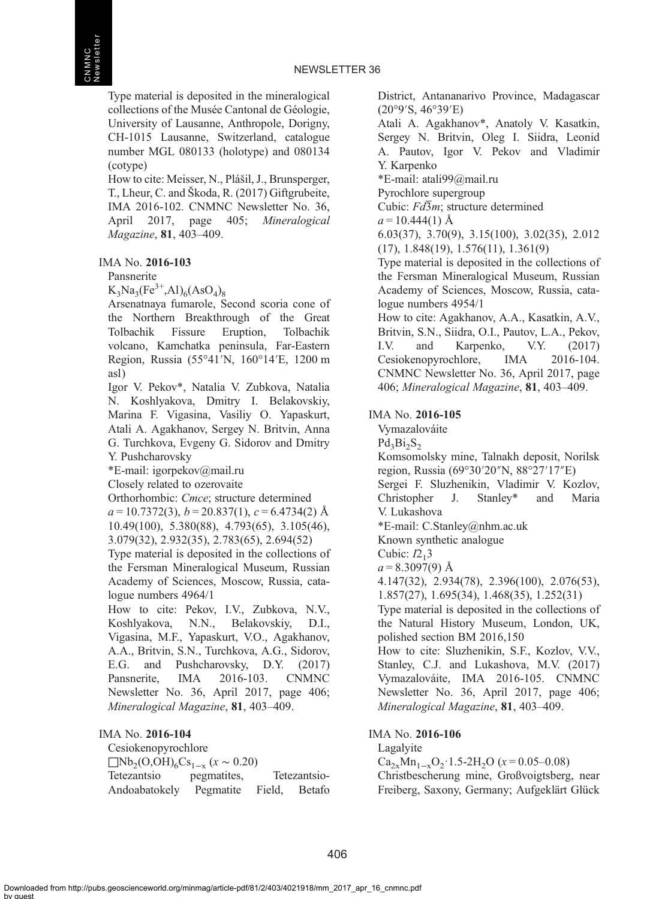Type material is deposited in the mineralogical collections of the Musée Cantonal de Géologie, University of Lausanne, Anthropole, Dorigny, CH-1015 Lausanne, Switzerland, catalogue number MGL 080133 (holotype) and 080134 (cotype)

How to cite: Meisser, N., Plášil, J., Brunsperger, T., Lheur, C. and Škoda, R. (2017) Giftgrubeite, IMA 2016-102. CNMNC Newsletter No. 36, April 2017, page 405; Mineralogical Magazine, 81, 403–409.

#### IMA No. 2016-103

Pansnerite

 $K_3Na_3(Fe^{3+},Al)_6(AsO_4)_8$ 

Arsenatnaya fumarole, Second scoria cone of the Northern Breakthrough of the Great Tolbachik Fissure Eruption, Tolbachik volcano, Kamchatka peninsula, Far-Eastern Region, Russia (55°41′N, 160°14′E, 1200 m asl)

Igor V. Pekov\*, Natalia V. Zubkova, Natalia N. Koshlyakova, Dmitry I. Belakovskiy, Marina F. Vigasina, Vasiliy O. Yapaskurt, Atali A. Agakhanov, Sergey N. Britvin, Anna G. Turchkova, Evgeny G. Sidorov and Dmitry Y. Pushcharovsky

\*E-mail: [igorpekov@mail.ru](mailto:igorpekov@mail.ru)

Closely related to ozerovaite

Orthorhombic: Cmce; structure determined  $a = 10.7372(3), b = 20.837(1), c = 6.4734(2)$  Å 10.49(100), 5.380(88), 4.793(65), 3.105(46), 3.079(32), 2.932(35), 2.783(65), 2.694(52)

Type material is deposited in the collections of the Fersman Mineralogical Museum, Russian Academy of Sciences, Moscow, Russia, catalogue numbers 4964/1

How to cite: Pekov, I.V., Zubkova, N.V., Koshlyakova, N.N., Belakovskiy, D.I., Vigasina, M.F., Yapaskurt, V.O., Agakhanov, A.A., Britvin, S.N., Turchkova, A.G., Sidorov, E.G. and Pushcharovsky, D.Y. (2017) Pansnerite, IMA 2016-103. CNMNC Newsletter No. 36, April 2017, page 406; Mineralogical Magazine, 81, 403–409.

#### IMA No. 2016-104

Cesiokenopyrochlore  $\Box$ Nb<sub>2</sub>(O,OH)<sub>6</sub>Cs<sub>1−x</sub> (x ~ 0.20)<br>Tetezantsio pegmatites, Tetezantsio pegmatites, Tetezantsio-Andoabatokely Pegmatite Field, Betafo District, Antananarivo Province, Madagascar (20°9′S, 46°39′E)

Atali A. Agakhanov\*, Anatoly V. Kasatkin, Sergey N. Britvin, Oleg I. Siidra, Leonid A. Pautov, Igor V. Pekov and Vladimir Y. Karpenko

\*E-mail: [atali99@mail.ru](mailto:atali99@mail.ru)

Pyrochlore supergroup

Cubic:  $Fd\overline{3}m$ ; structure determined

 $a = 10.444(1)$  Å

6.03(37), 3.70(9), 3.15(100), 3.02(35), 2.012 (17), 1.848(19), 1.576(11), 1.361(9)

Type material is deposited in the collections of the Fersman Mineralogical Museum, Russian Academy of Sciences, Moscow, Russia, catalogue numbers 4954/1

How to cite: Agakhanov, A.A., Kasatkin, A.V., Britvin, S.N., Siidra, O.I., Pautov, L.A., Pekov, I.V. and Karpenko, V.Y. (2017) Cesiokenopyrochlore, IMA 2016-104. CNMNC Newsletter No. 36, April 2017, page 406; Mineralogical Magazine, 81, 403–409.

#### IMA No. 2016-105

Vymazalováite

 $Pd_2Bi_2S_2$ 

Komsomolsky mine, Talnakh deposit, Norilsk region, Russia (69°30′20″N, 88°27′17″E) Sergei F. Sluzhenikin, Vladimir V. Kozlov, Christopher J. Stanley\* and Maria V. Lukashova \*E-mail: [C.Stanley@nhm.ac.uk](mailto:C.Stanley@nhm.ac.uk) Known synthetic analogue Cubic:  $I2<sub>1</sub>3$  $a = 8.3097(9)$  Å 4.147(32), 2.934(78), 2.396(100), 2.076(53), 1.857(27), 1.695(34), 1.468(35), 1.252(31) Type material is deposited in the collections of the Natural History Museum, London, UK, polished section BM 2016,150 How to cite: Sluzhenikin, S.F., Kozlov, V.V., Stanley, C.J. and Lukashova, M.V. (2017)

Vymazalováite, IMA 2016-105. CNMNC Newsletter No. 36, April 2017, page 406; Mineralogical Magazine, 81, 403–409.

#### IMA No. 2016-106

Lagalyite

Ca<sub>2x</sub>Mn<sub>1-x</sub>O<sub>2</sub>·1.5-2H<sub>2</sub>O ( $x = 0.05-0.08$ ) Christbescherung mine, Großvoigtsberg, near Freiberg, Saxony, Germany; Aufgeklärt Glück

Downloaded from http://pubs.geoscienceworld.org/minmag/article-pdf/81/2/403/4021918/mm\_2017\_apr\_16\_cnmnc.pdf by guest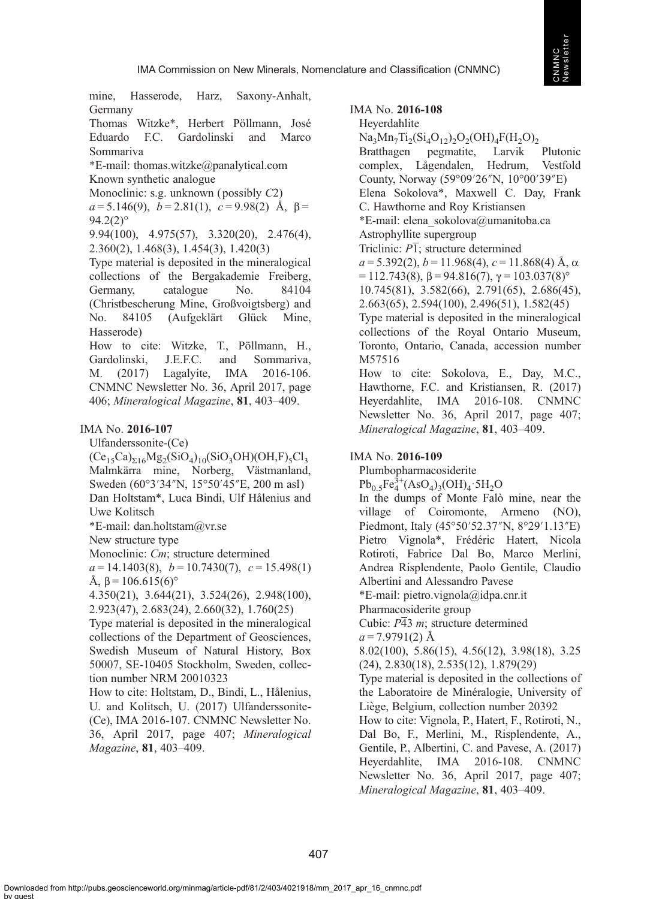mine, Hasserode, Harz, Saxony-Anhalt, Germany

Thomas Witzke\*, Herbert Pöllmann, José Eduardo F.C. Gardolinski and Marco Sommariva

\*E-mail: [thomas.witzke@panalytical.com](mailto:thomas.witzke@panalytical.com) Known synthetic analogue

Monoclinic: s.g. unknown (possibly  $C2$ )

 $a = 5.146(9)$ ,  $b = 2.81(1)$ ,  $c = 9.98(2)$  Å,  $\beta =$  $94.2(2)$ °

9.94(100), 4.975(57), 3.320(20), 2.476(4), 2.360(2), 1.468(3), 1.454(3), 1.420(3)

Type material is deposited in the mineralogical collections of the Bergakademie Freiberg, Germany, catalogue No. 84104 (Christbescherung Mine, Großvoigtsberg) and No. 84105 (Aufgeklärt Glück Mine, Hasserode)

How to cite: Witzke, T., Pöllmann, H., Gardolinski, J.E.F.C. and Sommariva, M. (2017) Lagalyite, IMA 2016-106. CNMNC Newsletter No. 36, April 2017, page 406; Mineralogical Magazine, 81, 403–409.

#### IMA No. 2016-107

Ulfanderssonite-(Ce)

 $(Ce<sub>15</sub>Ca)<sub>516</sub>Mg<sub>2</sub>(SiO<sub>4</sub>)<sub>10</sub>(SiO<sub>3</sub>OH)(OH,F)<sub>5</sub>Cl<sub>3</sub>$ Malmkärra mine, Norberg, Västmanland, Sweden (60°3′34″N, 15°50′45″E, 200 m asl) Dan Holtstam\*, Luca Bindi, Ulf Hålenius and Uwe Kolitsch

\*E-mail: [dan.holtstam@vr.se](mailto:dan.holtstam@vr.se)

New structure type

Monoclinic: Cm; structure determined

 $a = 14.1403(8)$ ,  $b = 10.7430(7)$ ,  $c = 15.498(1)$ Å,  $β = 106.615(6)°$ 

4.350(21), 3.644(21), 3.524(26), 2.948(100), 2.923(47), 2.683(24), 2.660(32), 1.760(25)

Type material is deposited in the mineralogical collections of the Department of Geosciences, Swedish Museum of Natural History, Box 50007, SE-10405 Stockholm, Sweden, collection number NRM 20010323

How to cite: Holtstam, D., Bindi, L., Hålenius, U. and Kolitsch, U. (2017) Ulfanderssonite- (Ce), IMA 2016-107. CNMNC Newsletter No. 36, April 2017, page 407; Mineralogical Magazine, 81, 403–409.

IMA No. 2016-108

Heyerdahlite

 $Na_3Mn_7Ti_2(Si_4O_{12})_2O_2(OH)_4F(H_2O)_2$ <br>Bratthagen pegmatite, Larvik Bratthagen pegmatite, Larvik Plutonic complex, Lågendalen, Hedrum, Vestfold County, Norway (59°09′26″N, 10°00′39″E) Elena Sokolova\*, Maxwell C. Day, Frank C. Hawthorne and Roy Kristiansen \*E-mail: [elena\\_sokolova@umanitoba.ca](mailto:elena_sokolova@umanitoba.ca) Astrophyllite supergroup Triclinic:  $\overline{PI}$ ; structure determined  $a = 5.392(2)$ ,  $b = 11.968(4)$ ,  $c = 11.868(4)$  Å,  $\alpha$  $= 112.743(8), \beta = 94.816(7), \gamma = 103.037(8)°$ 10.745(81), 3.582(66), 2.791(65), 2.686(45), 2.663(65), 2.594(100), 2.496(51), 1.582(45) Type material is deposited in the mineralogical collections of the Royal Ontario Museum, Toronto, Ontario, Canada, accession number M57516 How to cite: Sokolova, E., Day, M.C., Hawthorne, F.C. and Kristiansen, R. (2017) Heyerdahlite, IMA 2016-108. CNMNC Newsletter No. 36, April 2017, page 407; Mineralogical Magazine, 81, 403–409.

#### IMA No. 2016-109

Plumbopharmacosiderite

 $Pb_{0.5}Fe^{3+}_4(AsO_4)_3(OH)_4.5H_2O$ 

In the dumps of Monte Falò mine, near the village of Coiromonte, Armeno (NO), Piedmont, Italy (45°50′52.37″N, 8°29′1.13″E) Pietro Vignola\*, Frédéric Hatert, Nicola Rotiroti, Fabrice Dal Bo, Marco Merlini, Andrea Risplendente, Paolo Gentile, Claudio Albertini and Alessandro Pavese \*E-mail: [pietro.vignola@idpa.cnr.it](mailto:pietro.vignola@idpa.cnr.it) Pharmacosiderite group Cubic: P43 m; structure determined  $a = 7.9791(2)$  Å 8.02(100), 5.86(15), 4.56(12), 3.98(18), 3.25 (24), 2.830(18), 2.535(12), 1.879(29) Type material is deposited in the collections of the Laboratoire de Minéralogie, University of Liège, Belgium, collection number 20392 How to cite: Vignola, P., Hatert, F., Rotiroti, N., Dal Bo, F., Merlini, M., Risplendente, A., Gentile, P., Albertini, C. and Pavese, A. (2017) Heyerdahlite, IMA 2016-108. CNMNC Newsletter No. 36, April 2017, page 407; Mineralogical Magazine, 81, 403–409.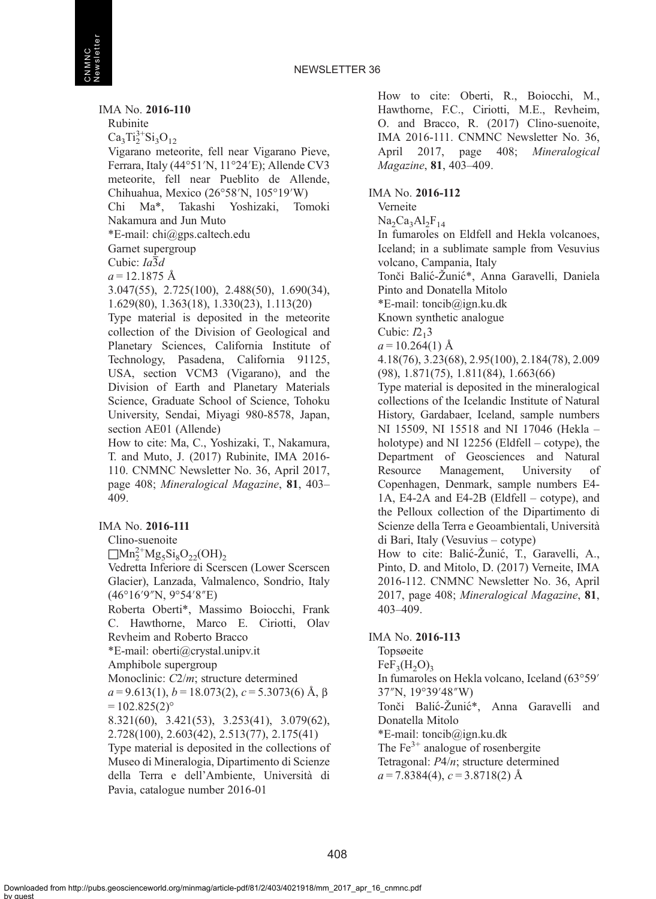IMA No. 2016-110 Rubinite  $Ca<sub>3</sub>Ti<sub>2</sub><sup>3+</sup>Si<sub>3</sub>O<sub>12</sub>$ Vigarano meteorite, fell near Vigarano Pieve, Ferrara, Italy (44°51′N, 11°24′E); Allende CV3 meteorite, fell near Pueblito de Allende, Chihuahua, Mexico (26°58′N, 105°19′W) Chi Ma\*, Takashi Yoshizaki, Tomoki Nakamura and Jun Muto \*E-mail: [chi@gps.caltech.edu](mailto:chi@gps.caltech.edu) Garnet supergroup Cubic:  $Ia\overline{3}d$  $a = 12.1875$  Å 3.047(55), 2.725(100), 2.488(50), 1.690(34), 1.629(80), 1.363(18), 1.330(23), 1.113(20) Type material is deposited in the meteorite collection of the Division of Geological and Planetary Sciences, California Institute of Technology, Pasadena, California 91125, USA, section VCM3 (Vigarano), and the Division of Earth and Planetary Materials Science, Graduate School of Science, Tohoku University, Sendai, Miyagi 980-8578, Japan, section AE01 (Allende) How to cite: Ma, C., Yoshizaki, T., Nakamura, T. and Muto, J. (2017) Rubinite, IMA 2016- 110. CNMNC Newsletter No. 36, April 2017, page 408; Mineralogical Magazine, 81, 403– 409. IMA No. 2016-111

Clino-suenoite  $\Box$ Mn<sup>2+</sup>Mg<sub>5</sub>Si<sub>8</sub>O<sub>22</sub>(OH)<sub>2</sub> Vedretta Inferiore di Scerscen (Lower Scerscen Glacier), Lanzada, Valmalenco, Sondrio, Italy (46°16′9″N, 9°54′8″E) Roberta Oberti\*, Massimo Boiocchi, Frank C. Hawthorne, Marco E. Ciriotti, Olav Revheim and Roberto Bracco \*E-mail: [oberti@crystal.unipv.it](mailto:oberti@crystal.unipv.it) Amphibole supergroup Monoclinic: C2/m; structure determined  $a = 9.613(1), b = 18.073(2), c = 5.3073(6)$  Å,  $\beta$  $= 102.825(2)$ ° 8.321(60), 3.421(53), 3.253(41), 3.079(62), 2.728(100), 2.603(42), 2.513(77), 2.175(41) Type material is deposited in the collections of Museo di Mineralogia, Dipartimento di Scienze della Terra e dell'Ambiente, Università di

How to cite: Oberti, R., Boiocchi, M., Hawthorne, F.C., Ciriotti, M.E., Revheim, O. and Bracco, R. (2017) Clino-suenoite, IMA 2016-111. CNMNC Newsletter No. 36, April 2017, page 408; Mineralogical Magazine, 81, 403–409.

#### IMA No. 2016-112

Verneite

 $Na<sub>2</sub>Ca<sub>3</sub>Al<sub>2</sub>F<sub>14</sub>$ 

In fumaroles on Eldfell and Hekla volcanoes, Iceland; in a sublimate sample from Vesuvius volcano, Campania, Italy Tonči Balic-́Žunic\*, Anna Garavelli, Daniela ́ Pinto and Donatella Mitolo \*E-mail: [toncib@ign.ku.dk](mailto:toncib@ign.ku.dk)

Known synthetic analogue

Cubic:  $I2<sub>1</sub>3$ 

 $a = 10.264(1)$  Å

4.18(76), 3.23(68), 2.95(100), 2.184(78), 2.009 (98), 1.871(75), 1.811(84), 1.663(66)

Type material is deposited in the mineralogical collections of the Icelandic Institute of Natural History, Gardabaer, Iceland, sample numbers NI 15509, NI 15518 and NI 17046 (Hekla – holotype) and NI 12256 (Eldfell – cotype), the Department of Geosciences and Natural Resource Management, University of Copenhagen, Denmark, sample numbers E4- 1A, E4-2A and E4-2B (Eldfell – cotype), and the Pelloux collection of the Dipartimento di Scienze della Terra e Geoambientali, Università di Bari, Italy (Vesuvius – cotype)

How to cite: Balić-Žunić, T., Garavelli, A., Pinto, D. and Mitolo, D. (2017) Verneite, IMA 2016-112. CNMNC Newsletter No. 36, April 2017, page 408; Mineralogical Magazine, 81, 403–409.

#### IMA No. 2016-113

Topsøeite  $FeF<sub>2</sub>(H<sub>2</sub>O)<sub>2</sub>$ In fumaroles on Hekla volcano, Iceland (63°59′ 37″N, 19°39′48″W) Tonči Balić-Žunić\*, Anna Garavelli and Donatella Mitolo \*E-mail: [toncib@ign.ku.dk](mailto:toncib@ign.ku.dk) The  $Fe<sup>3+</sup>$  analogue of rosenbergite Tetragonal: P4/n; structure determined  $a = 7.8384(4), c = 3.8718(2)$  Å

Pavia, catalogue number 2016-01